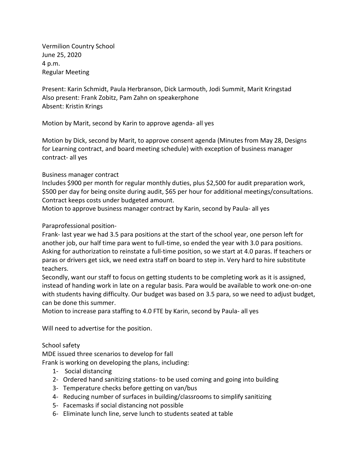Vermilion Country School June 25, 2020 4 p.m. Regular Meeting

Present: Karin Schmidt, Paula Herbranson, Dick Larmouth, Jodi Summit, Marit Kringstad Also present: Frank Zobitz, Pam Zahn on speakerphone Absent: Kristin Krings

Motion by Marit, second by Karin to approve agenda- all yes

Motion by Dick, second by Marit, to approve consent agenda (Minutes from May 28, Designs for Learning contract, and board meeting schedule) with exception of business manager contract- all yes

### Business manager contract

Includes \$900 per month for regular monthly duties, plus \$2,500 for audit preparation work, \$500 per day for being onsite during audit, \$65 per hour for additional meetings/consultations. Contract keeps costs under budgeted amount.

Motion to approve business manager contract by Karin, second by Paula- all yes

### Paraprofessional position-

Frank- last year we had 3.5 para positions at the start of the school year, one person left for another job, our half time para went to full-time, so ended the year with 3.0 para positions. Asking for authorization to reinstate a full-time position, so we start at 4.0 paras. If teachers or paras or drivers get sick, we need extra staff on board to step in. Very hard to hire substitute teachers.

Secondly, want our staff to focus on getting students to be completing work as it is assigned, instead of handing work in late on a regular basis. Para would be available to work one-on-one with students having difficulty. Our budget was based on 3.5 para, so we need to adjust budget, can be done this summer.

Motion to increase para staffing to 4.0 FTE by Karin, second by Paula- all yes

Will need to advertise for the position.

# School safety

MDE issued three scenarios to develop for fall

Frank is working on developing the plans, including:

- 1- Social distancing
- 2- Ordered hand sanitizing stations- to be used coming and going into building
- 3- Temperature checks before getting on van/bus
- 4- Reducing number of surfaces in building/classrooms to simplify sanitizing
- 5- Facemasks if social distancing not possible
- 6- Eliminate lunch line, serve lunch to students seated at table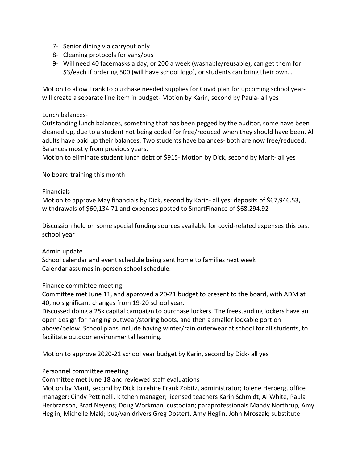- 7- Senior dining via carryout only
- 8- Cleaning protocols for vans/bus
- 9- Will need 40 facemasks a day, or 200 a week (washable/reusable), can get them for \$3/each if ordering 500 (will have school logo), or students can bring their own…

Motion to allow Frank to purchase needed supplies for Covid plan for upcoming school yearwill create a separate line item in budget- Motion by Karin, second by Paula- all yes

### Lunch balances-

Outstanding lunch balances, something that has been pegged by the auditor, some have been cleaned up, due to a student not being coded for free/reduced when they should have been. All adults have paid up their balances. Two students have balances- both are now free/reduced. Balances mostly from previous years.

Motion to eliminate student lunch debt of \$915- Motion by Dick, second by Marit- all yes

### No board training this month

#### Financials

Motion to approve May financials by Dick, second by Karin- all yes: deposits of \$67,946.53, withdrawals of \$60,134.71 and expenses posted to SmartFinance of \$68,294.92

Discussion held on some special funding sources available for covid-related expenses this past school year

#### Admin update

School calendar and event schedule being sent home to families next week Calendar assumes in-person school schedule.

# Finance committee meeting

Committee met June 11, and approved a 20-21 budget to present to the board, with ADM at 40, no significant changes from 19-20 school year.

Discussed doing a 25k capital campaign to purchase lockers. The freestanding lockers have an open design for hanging outwear/storing boots, and then a smaller lockable portion above/below. School plans include having winter/rain outerwear at school for all students, to facilitate outdoor environmental learning.

Motion to approve 2020-21 school year budget by Karin, second by Dick- all yes

# Personnel committee meeting

Committee met June 18 and reviewed staff evaluations

Motion by Marit, second by Dick to rehire Frank Zobitz, administrator; Jolene Herberg, office manager; Cindy Pettinelli, kitchen manager; licensed teachers Karin Schmidt, Al White, Paula Herbranson, Brad Neyens; Doug Workman, custodian; paraprofessionals Mandy Northrup, Amy Heglin, Michelle Maki; bus/van drivers Greg Dostert, Amy Heglin, John Mroszak; substitute